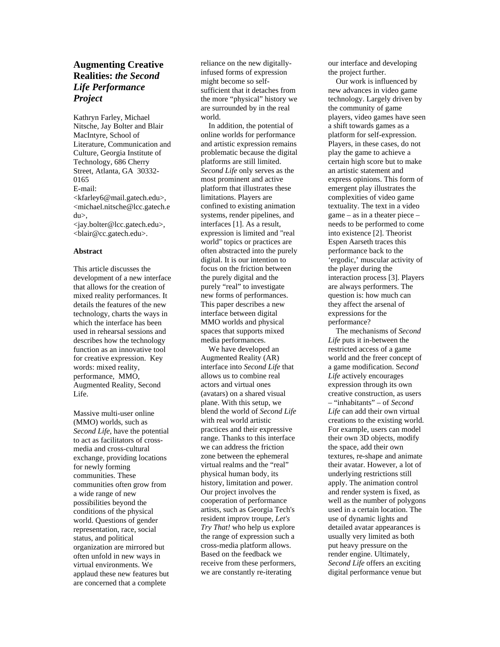## **Augmenting Creative Realities:** *the Second Life Performance Project*

Kathryn Farley, Michael Nitsche, Jay Bolter and Blair MacIntyre, School of Literature, Communication and Culture, Georgia Institute of Technology, 686 Cherry Street, Atlanta, GA 30332- 0165 E-mail: <kfarley6@mail.gatech.edu>, <michael.nitsche@lcc.gatech.e du>, <jay.bolter@lcc.gatech.edu>,

<blair@cc.gatech.edu>.

## **Abstract**

This article discusses the development of a new interface that allows for the creation of mixed reality performances. It details the features of the new technology, charts the ways in which the interface has been used in rehearsal sessions and describes how the technology function as an innovative tool for creative expression. Key words: mixed reality, performance, MMO, Augmented Reality, Second Life.

Massive multi-user online (MMO) worlds, such as *Second Life*, have the potential to act as facilitators of crossmedia and cross-cultural exchange, providing locations for newly forming communities. These communities often grow from a wide range of new possibilities beyond the conditions of the physical world. Questions of gender representation, race, social status, and political organization are mirrored but often unfold in new ways in virtual environments. We applaud these new features but are concerned that a complete

reliance on the new digitallyinfused forms of expression might become so selfsufficient that it detaches from the more "physical" history we are surrounded by in the real world.

 In addition, the potential of online worlds for performance and artistic expression remains problematic because the digital platforms are still limited. *Second Life* only serves as the most prominent and active platform that illustrates these limitations. Players are confined to existing animation systems, render pipelines, and interfaces [1]. As a result, expression is limited and "real world" topics or practices are often abstracted into the purely digital. It is our intention to focus on the friction between the purely digital and the purely "real" to investigate new forms of performances. This paper describes a new interface between digital MMO worlds and physical spaces that supports mixed media performances.

 We have developed an Augmented Reality (AR) interface into *Second Life* that allows us to combine real actors and virtual ones (avatars) on a shared visual plane. With this setup, we blend the world of *Second Life* with real world artistic practices and their expressive range. Thanks to this interface we can address the friction zone between the ephemeral virtual realms and the "real" physical human body, its history, limitation and power. Our project involves the cooperation of performance artists, such as Georgia Tech's resident improv troupe, *Let's Try That!* who help us explore the range of expression such a cross-media platform allows. Based on the feedback we receive from these performers, we are constantly re-iterating

our interface and developing the project further.

 Our work is influenced by new advances in video game technology. Largely driven by the community of game players, video games have seen a shift towards games as a platform for self-expression. Players, in these cases, do not play the game to achieve a certain high score but to make an artistic statement and express opinions. This form of emergent play illustrates the complexities of video game textuality. The text in a video game – as in a theater piece – needs to be performed to come into existence [2]. Theorist Espen Aarseth traces this performance back to the 'ergodic,' muscular activity of the player during the interaction process [3]. Players are always performers. The question is: how much can they affect the arsenal of expressions for the performance?

 The mechanisms of *Second Life* puts it in-between the restricted access of a game world and the freer concept of a game modification. S*econd Life* actively encourages expression through its own creative construction, as users – "inhabitants" – of *Second Life* can add their own virtual creations to the existing world. For example, users can model their own 3D objects, modify the space, add their own textures, re-shape and animate their avatar. However, a lot of underlying restrictions still apply. The animation control and render system is fixed, as well as the number of polygons used in a certain location. The use of dynamic lights and detailed avatar appearances is usually very limited as both put heavy pressure on the render engine. Ultimately, *Second Life* offers an exciting digital performance venue but